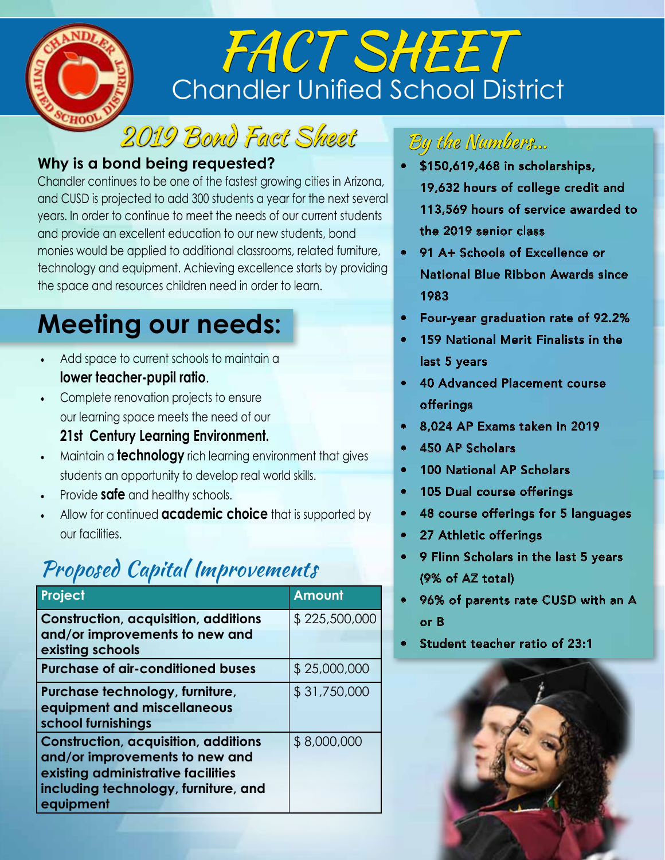

# Chandler Unified School District FACT SHEET

2019 Bond Fact Sheet

### **Why is a bond being requested?**

Chandler continues to be one of the fastest growing cities in Arizona, and CUSD is projected to add 300 students a year for the next several years. In order to continue to meet the needs of our current students and provide an excellent education to our new students, bond monies would be applied to additional classrooms, related furniture, technology and equipment. Achieving excellence starts by providing the space and resources children need in order to learn.

## **Meeting our needs:**

- Add space to current schools to maintain a **lower teacher-pupil ratio**.
- Complete renovation projects to ensure our learning space meets the need of our **21st Century Learning Environment.**
- Maintain a **technology** rich learning environment that gives students an opportunity to develop real world skills.
- Provide **safe** and healthy schools.
- Allow for continued **academic choice** that is supported by our facilities.

### Proposed Capital Improvements

| Project                                                                                                                                                                  | <b>Amount</b> |
|--------------------------------------------------------------------------------------------------------------------------------------------------------------------------|---------------|
| <b>Construction, acquisition, additions</b><br>and/or improvements to new and<br>existing schools                                                                        | \$225,500,000 |
| <b>Purchase of air-conditioned buses</b>                                                                                                                                 | \$25,000,000  |
| Purchase technology, furniture,<br>equipment and miscellaneous<br>school furnishings                                                                                     | \$31,750,000  |
| <b>Construction, acquisition, additions</b><br>and/or improvements to new and<br>existing administrative facilities<br>including technology, furniture, and<br>equipment | \$8,000,000   |

### By the Numbers...

- \$150,619,468 in scholarships, 19,632 hours of college credit and 113,569 hours of service awarded to the 2019 senior class
- 91 A+ Schools of Excellence or National Blue Ribbon Awards since 1983
- Four-year graduation rate of 92.2%
- 159 National Merit Finalists in the last 5 years
- 40 Advanced Placement course offerings
- 8,024 AP Exams taken in 2019
- 450 AP Scholars
- 100 National AP Scholars
- 105 Dual course offerings
- 48 course offerings for 5 languages
- 27 Athletic offerings
- 9 Flinn Scholars in the last 5 years (9% of AZ total)
- 96% of parents rate CUSD with an A or B
- Student teacher ratio of 23:1